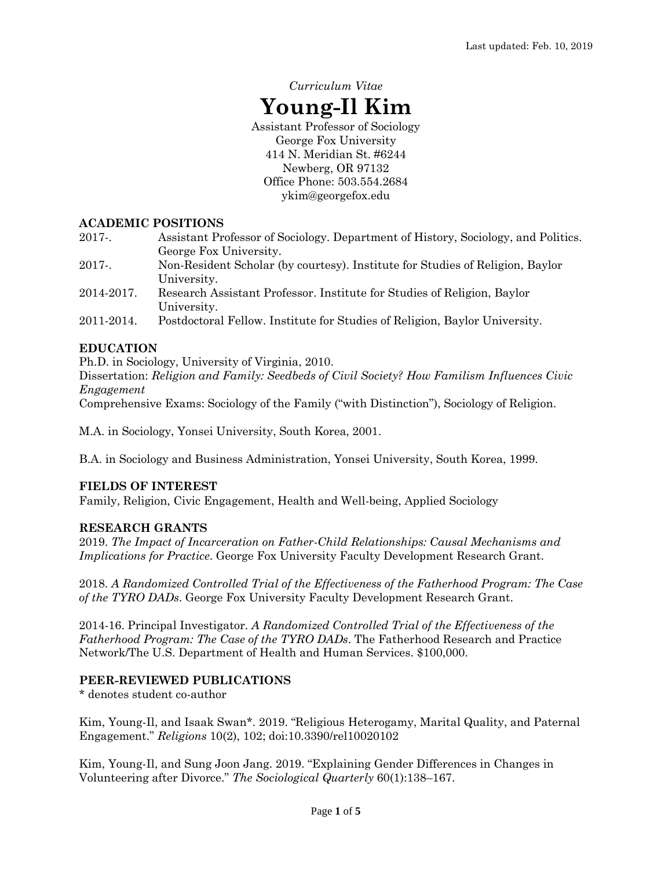# *Curriculum Vitae* **Young-Il Kim** Assistant Professor of Sociology George Fox University 414 N. Meridian St. #6244

Newberg, OR 97132 Office Phone: 503.554.2684 ykim@georgefox.edu

## **ACADEMIC POSITIONS**

- 2017-. Assistant Professor of Sociology. Department of History, Sociology, and Politics. George Fox University.
- 2017-. Non-Resident Scholar (by courtesy). Institute for Studies of Religion, Baylor University.
- 2014-2017. Research Assistant Professor. Institute for Studies of Religion, Baylor University.
- 2011-2014. Postdoctoral Fellow. Institute for Studies of Religion, Baylor University.

## **EDUCATION**

Ph.D. in Sociology, University of Virginia, 2010. Dissertation: *Religion and Family: Seedbeds of Civil Society? How Familism Influences Civic Engagement*

Comprehensive Exams: Sociology of the Family ("with Distinction"), Sociology of Religion.

M.A. in Sociology, Yonsei University, South Korea, 2001.

B.A. in Sociology and Business Administration, Yonsei University, South Korea, 1999.

## **FIELDS OF INTEREST**

Family, Religion, Civic Engagement, Health and Well-being, Applied Sociology

#### **RESEARCH GRANTS**

2019. *The Impact of Incarceration on Father-Child Relationships: Causal Mechanisms and Implications for Practice*. George Fox University Faculty Development Research Grant.

2018. *A Randomized Controlled Trial of the Effectiveness of the Fatherhood Program: The Case of the TYRO DADs*. George Fox University Faculty Development Research Grant.

2014-16. Principal Investigator. *A Randomized Controlled Trial of the Effectiveness of the Fatherhood Program: The Case of the TYRO DADs*. The Fatherhood Research and Practice Network/The U.S. Department of Health and Human Services. \$100,000.

#### **PEER-REVIEWED PUBLICATIONS**

\* denotes student co-author

Kim, Young-Il, and Isaak Swan\*. 2019. "Religious Heterogamy, Marital Quality, and Paternal Engagement." *Religions* 10(2), 102; doi:10.3390/rel10020102

Kim, Young-Il, and Sung Joon Jang. 2019. "Explaining Gender Differences in Changes in Volunteering after Divorce." *The Sociological Quarterly* 60(1):138–167.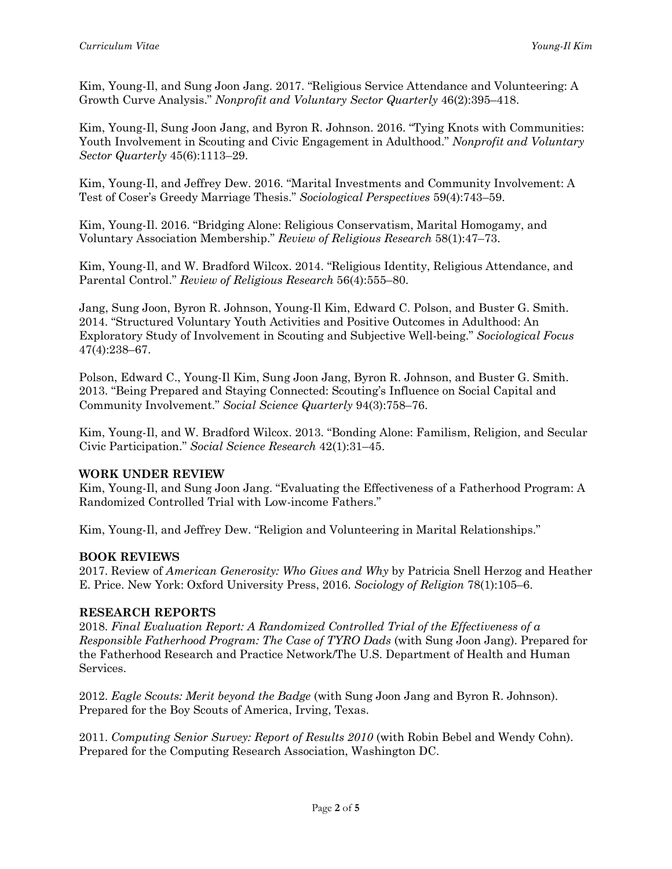Kim, Young-Il, and Sung Joon Jang. 2017. "Religious Service Attendance and Volunteering: A Growth Curve Analysis." *Nonprofit and Voluntary Sector Quarterly* 46(2):395–418.

Kim, Young-Il, Sung Joon Jang, and Byron R. Johnson. 2016. "Tying Knots with Communities: Youth Involvement in Scouting and Civic Engagement in Adulthood." *Nonprofit and Voluntary Sector Quarterly* 45(6):1113–29.

Kim, Young-Il, and Jeffrey Dew. 2016. "Marital Investments and Community Involvement: A Test of Coser's Greedy Marriage Thesis." *Sociological Perspectives* 59(4):743–59.

Kim, Young-Il. 2016. "Bridging Alone: Religious Conservatism, Marital Homogamy, and Voluntary Association Membership." *Review of Religious Research* 58(1):47–73.

Kim, Young-Il, and W. Bradford Wilcox. 2014. "Religious Identity, Religious Attendance, and Parental Control." *Review of Religious Research* 56(4):555–80.

Jang, Sung Joon, Byron R. Johnson, Young-Il Kim, Edward C. Polson, and Buster G. Smith. 2014. "Structured Voluntary Youth Activities and Positive Outcomes in Adulthood: An Exploratory Study of Involvement in Scouting and Subjective Well-being." *Sociological Focus* 47(4):238–67.

Polson, Edward C., Young-Il Kim, Sung Joon Jang, Byron R. Johnson, and Buster G. Smith. 2013. "Being Prepared and Staying Connected: Scouting's Influence on Social Capital and Community Involvement." *Social Science Quarterly* 94(3):758–76.

Kim, Young-Il, and W. Bradford Wilcox. 2013. "Bonding Alone: Familism, Religion, and Secular Civic Participation." *Social Science Research* 42(1):31–45.

#### **WORK UNDER REVIEW**

Kim, Young-Il, and Sung Joon Jang. "Evaluating the Effectiveness of a Fatherhood Program: A Randomized Controlled Trial with Low-income Fathers."

Kim, Young-Il, and Jeffrey Dew. "Religion and Volunteering in Marital Relationships."

#### **BOOK REVIEWS**

2017. Review of *American Generosity: Who Gives and Why* by Patricia Snell Herzog and Heather E. Price. New York: Oxford University Press, 2016. *Sociology of Religion* 78(1):105–6.

#### **RESEARCH REPORTS**

2018. *Final Evaluation Report: A Randomized Controlled Trial of the Effectiveness of a Responsible Fatherhood Program: The Case of TYRO Dads* (with Sung Joon Jang). Prepared for the Fatherhood Research and Practice Network/The U.S. Department of Health and Human Services.

2012. *Eagle Scouts: Merit beyond the Badge* (with Sung Joon Jang and Byron R. Johnson). Prepared for the Boy Scouts of America, Irving, Texas.

2011. *Computing Senior Survey: Report of Results 2010* (with Robin Bebel and Wendy Cohn). Prepared for the Computing Research Association, Washington DC.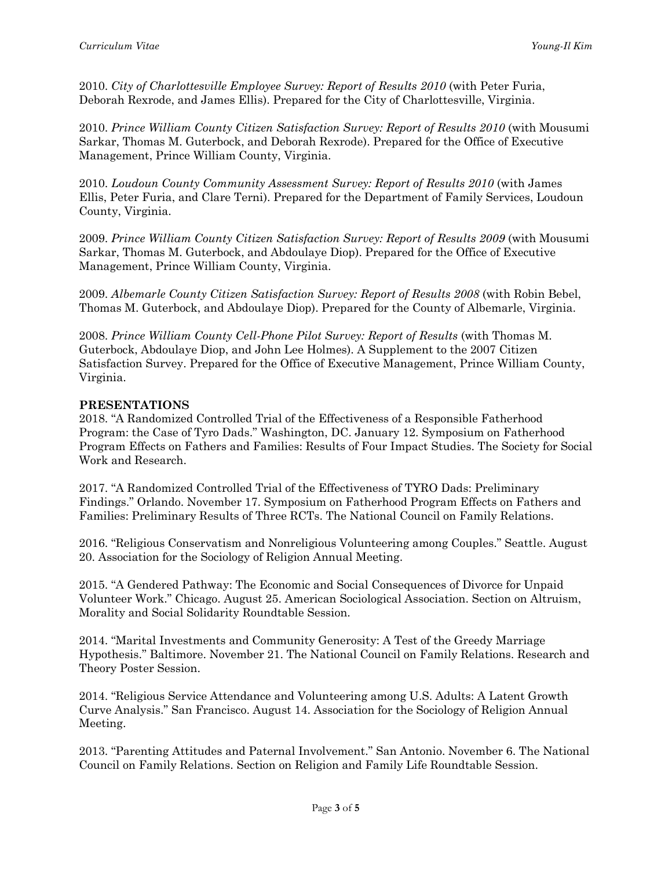2010. *City of Charlottesville Employee Survey: Report of Results 2010* (with Peter Furia, Deborah Rexrode, and James Ellis). Prepared for the City of Charlottesville, Virginia.

2010. *Prince William County Citizen Satisfaction Survey: Report of Results 2010* (with Mousumi Sarkar, Thomas M. Guterbock, and Deborah Rexrode). Prepared for the Office of Executive Management, Prince William County, Virginia.

2010. *Loudoun County Community Assessment Survey: Report of Results 2010* (with James Ellis, Peter Furia, and Clare Terni). Prepared for the Department of Family Services, Loudoun County, Virginia.

2009. *Prince William County Citizen Satisfaction Survey: Report of Results 2009* (with Mousumi Sarkar, Thomas M. Guterbock, and Abdoulaye Diop). Prepared for the Office of Executive Management, Prince William County, Virginia.

2009. *Albemarle County Citizen Satisfaction Survey: Report of Results 2008* (with Robin Bebel, Thomas M. Guterbock, and Abdoulaye Diop). Prepared for the County of Albemarle, Virginia.

2008. *Prince William County Cell-Phone Pilot Survey: Report of Results* (with Thomas M. Guterbock, Abdoulaye Diop, and John Lee Holmes). A Supplement to the 2007 Citizen Satisfaction Survey. Prepared for the Office of Executive Management, Prince William County, Virginia.

## **PRESENTATIONS**

2018. "A Randomized Controlled Trial of the Effectiveness of a Responsible Fatherhood Program: the Case of Tyro Dads." Washington, DC. January 12. Symposium on Fatherhood Program Effects on Fathers and Families: Results of Four Impact Studies. The Society for Social Work and Research.

2017. "A Randomized Controlled Trial of the Effectiveness of TYRO Dads: Preliminary Findings." Orlando. November 17. Symposium on Fatherhood Program Effects on Fathers and Families: Preliminary Results of Three RCTs. The National Council on Family Relations.

2016. "Religious Conservatism and Nonreligious Volunteering among Couples." Seattle. August 20. Association for the Sociology of Religion Annual Meeting.

2015. "A Gendered Pathway: The Economic and Social Consequences of Divorce for Unpaid Volunteer Work." Chicago. August 25. American Sociological Association. Section on Altruism, Morality and Social Solidarity Roundtable Session.

2014. "Marital Investments and Community Generosity: A Test of the Greedy Marriage Hypothesis." Baltimore. November 21. The National Council on Family Relations. Research and Theory Poster Session.

2014. "Religious Service Attendance and Volunteering among U.S. Adults: A Latent Growth Curve Analysis." San Francisco. August 14. Association for the Sociology of Religion Annual Meeting.

2013. "Parenting Attitudes and Paternal Involvement." San Antonio. November 6. The National Council on Family Relations. Section on Religion and Family Life Roundtable Session.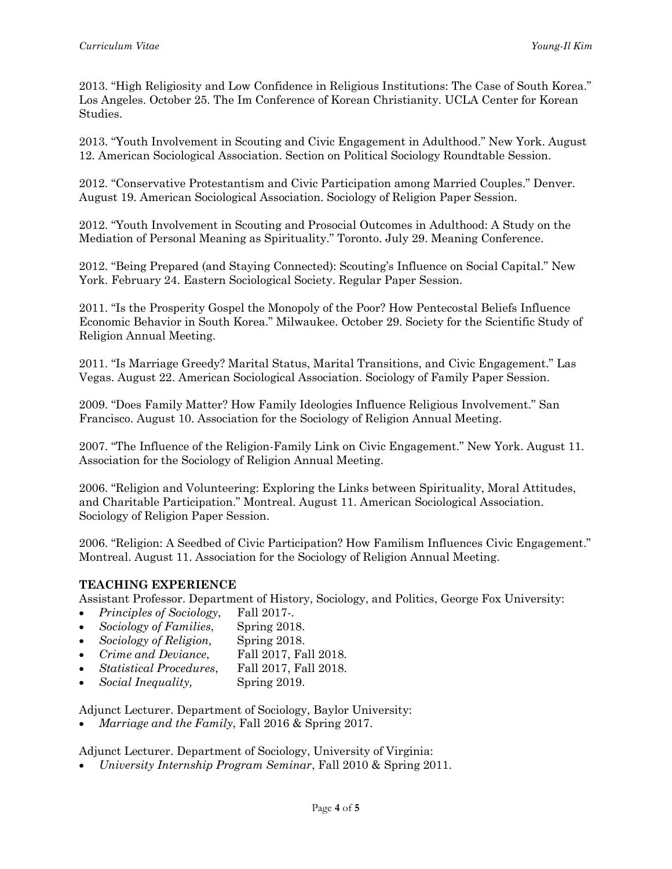2013. "High Religiosity and Low Confidence in Religious Institutions: The Case of South Korea." Los Angeles. October 25. The Im Conference of Korean Christianity. UCLA Center for Korean Studies.

2013. "Youth Involvement in Scouting and Civic Engagement in Adulthood." New York. August 12. American Sociological Association. Section on Political Sociology Roundtable Session.

2012. "Conservative Protestantism and Civic Participation among Married Couples." Denver. August 19. American Sociological Association. Sociology of Religion Paper Session.

2012. "Youth Involvement in Scouting and Prosocial Outcomes in Adulthood: A Study on the Mediation of Personal Meaning as Spirituality." Toronto. July 29. Meaning Conference.

2012. "Being Prepared (and Staying Connected): Scouting's Influence on Social Capital." New York. February 24. Eastern Sociological Society. Regular Paper Session.

2011. "Is the Prosperity Gospel the Monopoly of the Poor? How Pentecostal Beliefs Influence Economic Behavior in South Korea." Milwaukee. October 29. Society for the Scientific Study of Religion Annual Meeting.

2011. "Is Marriage Greedy? Marital Status, Marital Transitions, and Civic Engagement." Las Vegas. August 22. American Sociological Association. Sociology of Family Paper Session.

2009. "Does Family Matter? How Family Ideologies Influence Religious Involvement." San Francisco. August 10. Association for the Sociology of Religion Annual Meeting.

2007. "The Influence of the Religion-Family Link on Civic Engagement." New York. August 11. Association for the Sociology of Religion Annual Meeting.

2006. "Religion and Volunteering: Exploring the Links between Spirituality, Moral Attitudes, and Charitable Participation." Montreal. August 11. American Sociological Association. Sociology of Religion Paper Session.

2006. "Religion: A Seedbed of Civic Participation? How Familism Influences Civic Engagement." Montreal. August 11. Association for the Sociology of Religion Annual Meeting.

## **TEACHING EXPERIENCE**

Assistant Professor. Department of History, Sociology, and Politics, George Fox University:

- *Principles of Sociology*, Fall 2017-.
- *Sociology of Families*, Spring 2018.
- *Sociology of Religion,* Spring 2018.
- *Crime and Deviance*, Fall 2017, Fall 2018.
- *Statistical Procedures*, Fall 2017, Fall 2018.
- *Social Inequality,* Spring 2019.

Adjunct Lecturer. Department of Sociology, Baylor University:

*Marriage and the Family*, Fall 2016 & Spring 2017.

Adjunct Lecturer. Department of Sociology, University of Virginia:

*University Internship Program Seminar*, Fall 2010 & Spring 2011.